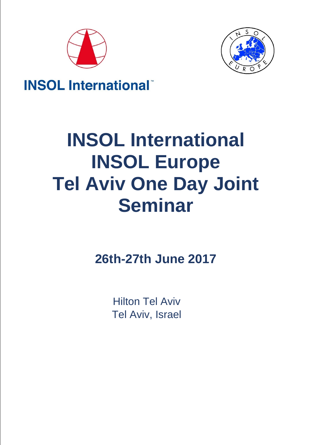



## **INSOL International**

# **INSOL International INSOL Europe Tel Aviv One Day Joint Seminar**

**26th-27th June 2017**

Hilton Tel Aviv Tel Aviv, Israel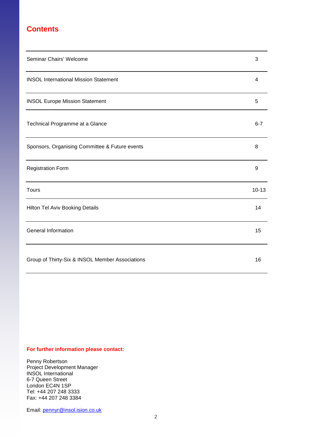## **Contents**

| Seminar Chairs' Welcome                         | 3         |
|-------------------------------------------------|-----------|
| <b>INSOL International Mission Statement</b>    | 4         |
| <b>INSOL Europe Mission Statement</b>           | 5         |
| Technical Programme at a Glance                 | $6 - 7$   |
| Sponsors, Organising Committee & Future events  | 8         |
| <b>Registration Form</b>                        | 9         |
| <b>Tours</b>                                    | $10 - 13$ |
| Hilton Tel Aviv Booking Details                 | 14        |
| <b>General Information</b>                      | 15        |
| Group of Thirty-Six & INSOL Member Associations | 16        |

#### **For further information please contact:**

Penny Robertson Project Development Manager INSOL International 6-7 Queen Street London EC4N 1SP Tel: +44 207 248 3333 Fax: +44 207 248 3384

Email: [pennyr@insol.ision.co.uk](mailto:pennyr@insol.ision.co.uk)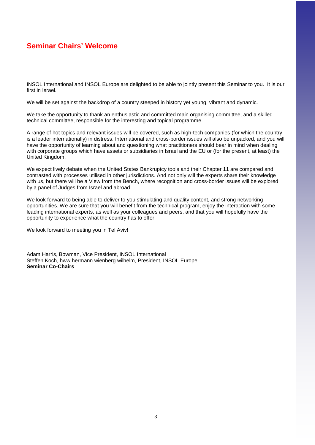## **Seminar Chairs' Welcome**

INSOL International and INSOL Europe are delighted to be able to jointly present this Seminar to you. It is our first in Israel.

We will be set against the backdrop of a country steeped in history yet young, vibrant and dynamic.

We take the opportunity to thank an enthusiastic and committed main organising committee, and a skilled technical committee, responsible for the interesting and topical programme.

A range of hot topics and relevant issues will be covered, such as high-tech companies (for which the country is a leader internationally) in distress. International and cross-border issues will also be unpacked, and you will have the opportunity of learning about and questioning what practitioners should bear in mind when dealing with corporate groups which have assets or subsidiaries in Israel and the EU or (for the present, at least) the United Kingdom.

We expect lively debate when the United States Bankruptcy tools and their Chapter 11 are compared and contrasted with processes utilised in other jurisdictions. And not only will the experts share their knowledge with us, but there will be a View from the Bench, where recognition and cross-border issues will be explored by a panel of Judges from Israel and abroad.

We look forward to being able to deliver to you stimulating and quality content, and strong networking opportunities. We are sure that you will benefit from the technical program, enjoy the interaction with some leading international experts, as well as your colleagues and peers, and that you will hopefully have the opportunity to experience what the country has to offer.

We look forward to meeting you in Tel Aviv!

Adam Harris, Bowman, Vice President, INSOL International Steffen Koch, hww hermann wienberg wilhelm, President, INSOL Europe **Seminar Co-Chairs**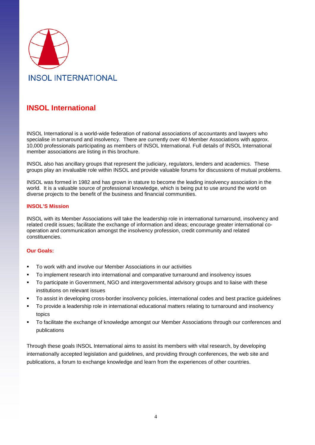

## **INSOL International**

INSOL International is a world-wide federation of national associations of accountants and lawyers who specialise in turnaround and insolvency. There are currently over 40 Member Associations with approx. 10,000 professionals participating as members of INSOL International. Full details of INSOL International member associations are listing in this brochure.

INSOL also has ancillary groups that represent the judiciary, regulators, lenders and academics. These groups play an invaluable role within INSOL and provide valuable forums for discussions of mutual problems.

INSOL was formed in 1982 and has grown in stature to become the leading insolvency association in the world. It is a valuable source of professional knowledge, which is being put to use around the world on diverse projects to the benefit of the business and financial communities.

#### **INSOL'S Mission**

INSOL with its Member Associations will take the leadership role in international turnaround, insolvency and related credit issues; facilitate the exchange of information and ideas; encourage greater international cooperation and communication amongst the insolvency profession, credit community and related constituencies.

#### **Our Goals:**

- To work with and involve our Member Associations in our activities
- To implement research into international and comparative turnaround and insolvency issues
- To participate in Government, NGO and intergovernmental advisory groups and to liaise with these institutions on relevant issues
- To assist in developing cross-border insolvency policies, international codes and best practice guidelines
- To provide a leadership role in international educational matters relating to turnaround and insolvency topics
- To facilitate the exchange of knowledge amongst our Member Associations through our conferences and publications

Through these goals INSOL International aims to assist its members with vital research, by developing internationally accepted legislation and guidelines, and providing through conferences, the web site and publications, a forum to exchange knowledge and learn from the experiences of other countries.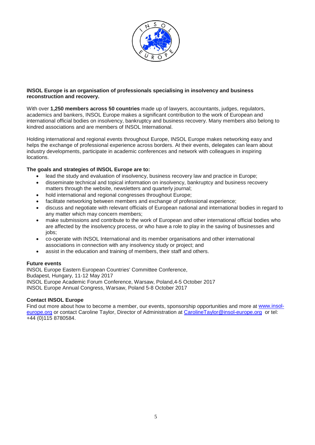

#### **INSOL Europe is an organisation of professionals specialising in insolvency and business reconstruction and recovery.**

With over **1,250 members across 50 countries** made up of lawyers, accountants, judges, regulators, academics and bankers, INSOL Europe makes a significant contribution to the work of European and international official bodies on insolvency, bankruptcy and business recovery. Many members also belong to kindred associations and are members of INSOL International.

Holding international and regional events throughout Europe, INSOL Europe makes networking easy and helps the exchange of professional experience across borders. At their events, delegates can learn about industry developments, participate in academic conferences and network with colleagues in inspiring locations.

#### **The goals and strategies of INSOL Europe are to:**

- lead the study and evaluation of insolvency, business recovery law and practice in Europe;
- disseminate technical and topical information on insolvency, bankruptcy and business recovery matters through the website, newsletters and quarterly journal;
- hold international and regional congresses throughout Europe;
- facilitate networking between members and exchange of professional experience;
- discuss and negotiate with relevant officials of European national and international bodies in regard to any matter which may concern members;
- make submissions and contribute to the work of European and other international official bodies who are affected by the insolvency process, or who have a role to play in the saving of businesses and jobs;
- co-operate with INSOL International and its member organisations and other international associations in connection with any insolvency study or project; and
- assist in the education and training of members, their staff and others.

#### **Future events**

INSOL Europe Eastern European Countries' Committee Conference, Budapest, Hungary, 11-12 May 2017 INSOL Europe Academic Forum Conference, Warsaw, Poland,4-5 October 2017 INSOL Europe Annual Congress, Warsaw, Poland 5-8 October 2017

#### **Contact INSOL Europe**

Find out more about how to become a member, our events, sponsorship opportunities and more at [www.insol](http://www.insol-europe.org/)[europe.org](http://www.insol-europe.org/) or contact Caroline Taylor, Director of Administration at [CarolineTaylor@insol-europe.org](mailto:CarolineTaylor@insol-europe.org) or tel: +44 (0)115 8780584.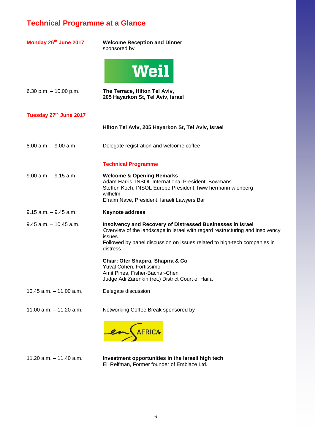## **Technical Programme at a Glance**

| Monday 26th June 2017      | <b>Welcome Reception and Dinner</b><br>sponsored by                                                                                                                                                                                            |
|----------------------------|------------------------------------------------------------------------------------------------------------------------------------------------------------------------------------------------------------------------------------------------|
|                            | <b>Weil</b>                                                                                                                                                                                                                                    |
| 6.30 p.m. $-10.00$ p.m.    | The Terrace, Hilton Tel Aviv,<br>205 Hayarkon St, Tel Aviv, Israel                                                                                                                                                                             |
| Tuesday 27th June 2017     |                                                                                                                                                                                                                                                |
|                            | Hilton Tel Aviv, 205 Hayarkon St, Tel Aviv, Israel                                                                                                                                                                                             |
| $8.00$ a.m. $-9.00$ a.m.   | Delegate registration and welcome coffee                                                                                                                                                                                                       |
|                            | <b>Technical Programme</b>                                                                                                                                                                                                                     |
| $9.00$ a.m. $-9.15$ a.m.   | <b>Welcome &amp; Opening Remarks</b><br>Adam Harris, INSOL International President, Bowmans<br>Steffen Koch, INSOL Europe President, hww hermann wienberg<br>wilhelm<br>Efraim Nave, President, Israeli Lawyers Bar                            |
| $9.15$ a.m. $-9.45$ a.m.   | <b>Keynote address</b>                                                                                                                                                                                                                         |
| $9.45$ a.m. $-10.45$ a.m.  | Insolvency and Recovery of Distressed Businesses in Israel<br>Overview of the landscape in Israel with regard restructuring and insolvency<br>issues.<br>Followed by panel discussion on issues related to high-tech companies in<br>distress. |
|                            | Chair: Ofer Shapira, Shapira & Co<br>Yuval Cohen, Fortissimo<br>Amit Pines, Fisher-Bachar-Chen<br>Judge Adi Zarenkin (ret.) District Court of Haifa                                                                                            |
| $10.45$ a.m. $-11.00$ a.m. | Delegate discussion                                                                                                                                                                                                                            |
| $11.00$ a.m. $-11.20$ a.m. | Networking Coffee Break sponsored by                                                                                                                                                                                                           |
|                            | AFRICA                                                                                                                                                                                                                                         |

11.20 a.m. – 11.40 a.m. **Investment opportunities in the Israeli high tech** Eli Reifman, Former founder of Emblaze Ltd.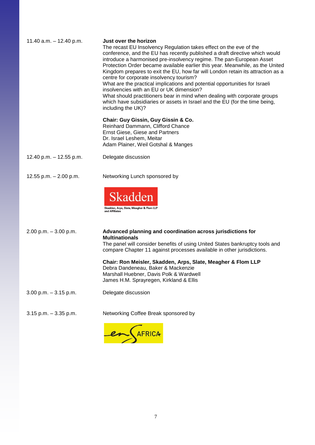| 11.40 $a.m. - 12.40$ p.m. | Just over the horizon<br>The recast EU Insolvency Regulation takes effect on the eve of the<br>conference, and the EU has recently published a draft directive which would<br>introduce a harmonised pre-insolvency regime. The pan-European Asset<br>Protection Order became available earlier this year. Meanwhile, as the United<br>Kingdom prepares to exit the EU, how far will London retain its attraction as a<br>centre for corporate insolvency tourism?<br>What are the practical implications and potential opportunities for Israeli<br>insolvencies with an EU or UK dimension?<br>What should practitioners bear in mind when dealing with corporate groups<br>which have subsidiaries or assets in Israel and the EU (for the time being,<br>including the UK)? |
|---------------------------|---------------------------------------------------------------------------------------------------------------------------------------------------------------------------------------------------------------------------------------------------------------------------------------------------------------------------------------------------------------------------------------------------------------------------------------------------------------------------------------------------------------------------------------------------------------------------------------------------------------------------------------------------------------------------------------------------------------------------------------------------------------------------------|
|                           | Chair: Guy Gissin, Guy Gissin & Co.<br>Reinhard Dammann, Clifford Chance<br>Ernst Giese, Giese and Partners<br>Dr. Israel Leshem, Meitar<br>Adam Plainer, Weil Gotshal & Manges                                                                                                                                                                                                                                                                                                                                                                                                                                                                                                                                                                                                 |
| 12.40 p.m. $-$ 12.55 p.m. | Delegate discussion                                                                                                                                                                                                                                                                                                                                                                                                                                                                                                                                                                                                                                                                                                                                                             |
| 12.55 p.m. $- 2.00$ p.m.  | Networking Lunch sponsored by<br>Skadden<br>Skadden, Arps, Slate, Meagher & Flom LLP<br>and Affiliates                                                                                                                                                                                                                                                                                                                                                                                                                                                                                                                                                                                                                                                                          |
| $2.00$ p.m. $-3.00$ p.m.  | Advanced planning and coordination across jurisdictions for<br><b>Multinationals</b><br>The panel will consider benefits of using United States bankruptcy tools and<br>compare Chapter 11 against processes available in other jurisdictions.<br>Chair: Ron Meisler, Skadden, Arps, Slate, Meagher & Flom LLP<br>Debra Dandeneau, Baker & Mackenzie<br>Marshall Huebner, Davis Polk & Wardwell<br>James H.M. Sprayregen, Kirkland & Ellis                                                                                                                                                                                                                                                                                                                                      |
| $3.00$ p.m. $-3.15$ p.m.  | Delegate discussion                                                                                                                                                                                                                                                                                                                                                                                                                                                                                                                                                                                                                                                                                                                                                             |
| $3.15$ p.m. $-3.35$ p.m.  | Networking Coffee Break sponsored by                                                                                                                                                                                                                                                                                                                                                                                                                                                                                                                                                                                                                                                                                                                                            |

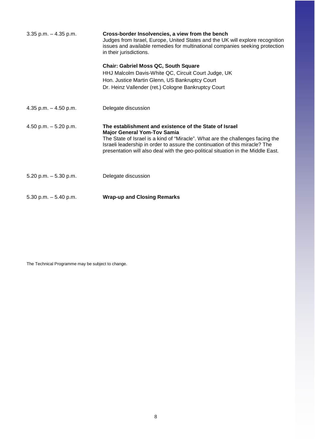| $3.35$ p.m. $-4.35$ p.m. | Cross-border Insolvencies, a view from the bench<br>Judges from Israel, Europe, United States and the UK will explore recognition<br>issues and available remedies for multinational companies seeking protection<br>in their jurisdictions.                                                                                                      |
|--------------------------|---------------------------------------------------------------------------------------------------------------------------------------------------------------------------------------------------------------------------------------------------------------------------------------------------------------------------------------------------|
|                          | <b>Chair: Gabriel Moss QC, South Square</b><br>HHJ Malcolm Davis-White QC, Circuit Court Judge, UK<br>Hon. Justice Martin Glenn, US Bankruptcy Court<br>Dr. Heinz Vallender (ret.) Cologne Bankruptcy Court                                                                                                                                       |
| 4.35 p.m. $-$ 4.50 p.m.  | Delegate discussion                                                                                                                                                                                                                                                                                                                               |
| 4.50 p.m. $-5.20$ p.m.   | The establishment and existence of the State of Israel<br><b>Major General Yom-Tov Samia</b><br>The State of Israel is a kind of "Miracle". What are the challenges facing the<br>Israeli leadership in order to assure the continuation of this miracle? The<br>presentation will also deal with the geo-political situation in the Middle East. |
| $5.20$ p.m. $-5.30$ p.m. | Delegate discussion                                                                                                                                                                                                                                                                                                                               |
| $5.30$ p.m. $-5.40$ p.m. | <b>Wrap-up and Closing Remarks</b>                                                                                                                                                                                                                                                                                                                |

The Technical Programme may be subject to change.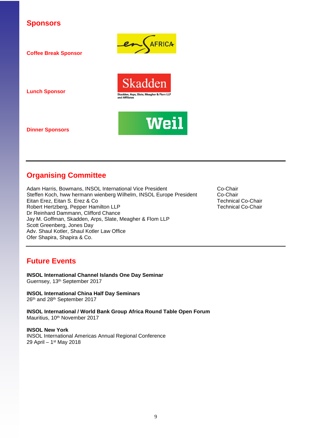### **Sponsors**

**Coffee Break Sponsor**







**Lunch Sponsor**

**Dinner Sponsors** 

## **Organising Committee**

Adam Harris, Bowmans, INSOL International Vice President Co-Chair<br>Steffen Koch, hww hermann wienberg Wilhelm, INSOL Europe President Co-Chair Steffen Koch, hww hermann wienberg Wilhelm, INSOL Europe President Co-Chair<br>Eitan Erez, Eitan S. Erez & Co<br>Technical Co-Chair Eitan Erez, Eitan S. Erez & Co **Technical Co-Chair**<br>Robert Hertzberg, Pepper Hamilton LLP **Technical Co-Chair** Robert Hertzberg, Pepper Hamilton LLP Dr Reinhard Dammann, Clifford Chance Jay M. Goffman, Skadden, Arps, Slate, Meagher & Flom LLP Scott Greenberg, Jones Day Adv. Shaul Kotler, Shaul Kotler Law Office Ofer Shapira, Shapira & Co.

## **Future Events**

**INSOL International Channel Islands One Day Seminar** Guernsey, 13th September 2017

**INSOL International China Half Day Seminars** 26th and 28th September 2017

**INSOL International / World Bank Group Africa Round Table Open Forum**  Mauritius, 10<sup>th</sup> November 2017

**INSOL New York** INSOL International Americas Annual Regional Conference 29 April – 1st May 2018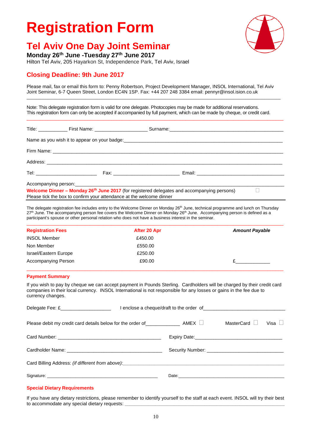## **Registration Form**

## **Tel Aviv One Day Joint Seminar**

**Monday 26th June -Tuesday 27th June 2017**

Hilton Tel Aviv, 205 Hayarkon St, Independence Park, Tel Aviv, Israel

### **Closing Deadline: 9th June 2017**

Please mail, fax or email this form to: Penny Robertson, Project Development Manager, INSOL International, Tel Aviv Joint Seminar, 6-7 Queen Street, London EC4N 1SP. Fax: +44 207 248 3384 email: pennyr@insol.ision.co.uk \_\_\_\_\_\_\_\_\_\_\_\_\_\_\_\_\_\_\_\_\_\_\_\_\_\_\_\_\_\_\_\_\_\_\_\_\_\_\_\_\_\_\_\_\_\_\_\_\_\_\_\_\_\_\_\_\_\_\_\_\_\_\_\_\_\_\_\_\_\_\_\_\_\_\_\_\_\_\_\_\_\_\_\_\_\_\_\_\_\_\_\_\_\_\_\_\_\_\_\_\_\_\_\_\_\_\_\_

Note: This delegate registration form is valid for one delegate. Photocopies may be made for additional reservations. This registration form can only be accepted if accompanied by full payment, which can be made by cheque, or credit card.

 $\_$  , and the state of the state of the state of the state of the state of the state of the state of the state of the state of the state of the state of the state of the state of the state of the state of the state of the

| Welcome Dinner – Monday 26 <sup>th</sup> June 2017 (for registered delegates and accompanying persons)<br>Please tick the box to confirm your attendance at the welcome dinner |  |  |
|--------------------------------------------------------------------------------------------------------------------------------------------------------------------------------|--|--|

The delegate registration fee includes entry to the Welcome Dinner on Monday 26<sup>th</sup> June, technical programme and lunch on Thursday 27<sup>th</sup> June. The accompanying person fee covers the Welcome Dinner on Monday 26<sup>th</sup> June. Accompanying person is defined as a participant's spouse or other personal relation who does not have a business interest in the seminar.

| <b>Registration Fees</b> | After 20 Apr | <b>Amount Payable</b> |
|--------------------------|--------------|-----------------------|
| <b>INSOL Member</b>      | £450.00      |                       |
| Non Member               | £550.00      |                       |
| Israel/Eastern Europe    | £250.00      |                       |
| Accompanying Person      | £90.00       |                       |

#### **Payment Summary**

If you wish to pay by cheque we can accept payment in Pounds Sterling. Cardholders will be charged by their credit card companies in their local currency. INSOL International is not responsible for any losses or gains in the fee due to currency changes.

| Delegate Fee: £______________________                                         |                                                                                                                                                                                                                                |            |             |
|-------------------------------------------------------------------------------|--------------------------------------------------------------------------------------------------------------------------------------------------------------------------------------------------------------------------------|------------|-------------|
| Please debit my credit card details below for the order of $\Box$ AMEX $\Box$ |                                                                                                                                                                                                                                | MasterCard | Visa $\Box$ |
|                                                                               |                                                                                                                                                                                                                                |            |             |
|                                                                               |                                                                                                                                                                                                                                |            |             |
|                                                                               |                                                                                                                                                                                                                                |            |             |
|                                                                               | Date: the contract of the contract of the contract of the contract of the contract of the contract of the contract of the contract of the contract of the contract of the contract of the contract of the contract of the cont |            |             |

#### **Special Dietary Requirements**

If you have any dietary restrictions, please remember to identify yourself to the staff at each event. INSOL will try their best to accommodate any special dietary requests: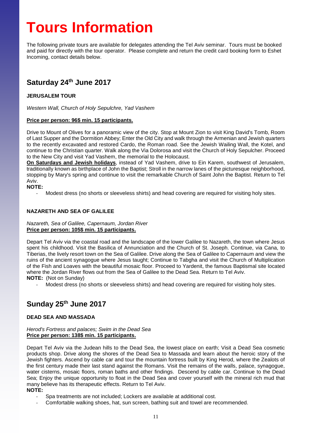## **Tours Information**

The following private tours are available for delegates attending the Tel Aviv seminar. Tours must be booked and paid for directly with the tour operator. Please complete and return the credit card booking form to Eshet Incoming, contact details below.

## **Saturday 24th June 2017**

#### **JERUSALEM TOUR**

*Western Wall, Church of Holy Sepulchre, Yad Vashem*

#### **Price per person: 96\$ min. 15 participants.**

Drive to Mount of Olives for a panoramic view of the city. Stop at Mount Zion to visit King David's Tomb, Room of Last Supper and the Dormition Abbey; Enter the Old City and walk through the Armenian and Jewish quarters to the recently excavated and restored Cardo, the Roman road. See the Jewish Wailing Wall, the Kotel, and continue to the Christian quarter. Walk along the Via Dolorosa and visit the Church of Holy Sepulcher. Proceed to the New City and visit Yad Vashem, the memorial to the Holocaust.

**On Saturdays and Jewish holidays**, instead of Yad Vashem, drive to Ein Karem, southwest of Jerusalem, traditionally known as birthplace of John the Baptist; Stroll in the narrow lanes of the picturesque neighborhood, stopping by Mary's spring and continue to visit the remarkable Church of Saint John the Baptist. Return to Tel Aviv.

#### **NOTE:**

Modest dress (no shorts or sleeveless shirts) and head covering are required for visiting holy sites.

#### **NAZARETH AND SEA OF GALILEE**

#### *Nazareth, Sea of Galilee, Capernaum, Jordan River* **Price per person: 105\$ min. 15 participants.**

Depart Tel Aviv via the coastal road and the landscape of the lower Galilee to Nazareth, the town where Jesus spent his childhood. Visit the Basilica of Annunciation and the Church of St. Joseph. Continue, via Cana, to Tiberias, the lively resort town on the Sea of Galilee. Drive along the Sea of Galilee to Capernaum and view the ruins of the ancient synagogue where Jesus taught; Continue to Tabgha and visit the Church of Multiplication of the Fish and Loaves with the beautiful mosaic floor. Proceed to Yardenit, the famous Baptismal site located where the Jordan River flows out from the Sea of Galilee to the Dead Sea. Return to Tel Aviv. **NOTE:** (Not on Sunday)

Modest dress (no shorts or sleeveless shirts) and head covering are required for visiting holy sites.

## **Sunday 25th June 2017**

#### **DEAD SEA AND MASSADA**

#### *Herod's Fortress and palaces; Swim in the Dead Sea* **Price per person: 138\$ min. 15 participants.**

Depart Tel Aviv via the Judean hills to the Dead Sea, the lowest place on earth; Visit a Dead Sea cosmetic products shop. Drive along the shores of the Dead Sea to Massada and learn about the heroic story of the Jewish fighters. Ascend by cable car and tour the mountain fortress built by King Herod, where the Zealots of the first century made their last stand against the Romans. Visit the remains of the walls, palace, synagogue, water cisterns, mosaic floors, roman baths and other findings. Descend by cable car. Continue to the Dead Sea; Enjoy the unique opportunity to float in the Dead Sea and cover yourself with the mineral rich mud that many believe has its therapeutic effects. Return to Tel Aviv. **NOTE:** 

- Spa treatments are not included; Lockers are available at additional cost.
- Comfortable walking shoes, hat, sun screen, bathing suit and towel are recommended.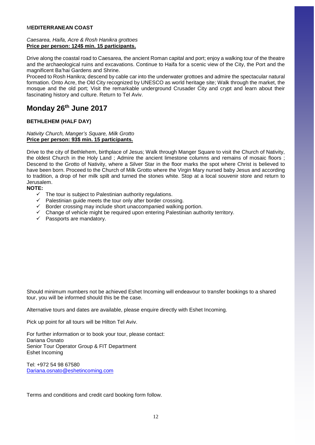#### M**EDITERRANEAN COAST**

#### *Caesarea, Haifa, Acre & Rosh Hanikra grottoes* **Price per person: 124\$ min. 15 participants.**

Drive along the coastal road to Caesarea, the ancient Roman capital and port; enjoy a walking tour of the theatre and the archaeological ruins and excavations. Continue to Haifa for a scenic view of the City, the Port and the magnificent Ba'hai Gardens and Shrine.

Proceed to Rosh Hanikra; descend by cable car into the underwater grottoes and admire the spectacular natural formation. Onto Acre, the Old City recognized by UNESCO as world heritage site; Walk through the market, the mosque and the old port; Visit the remarkable underground Crusader City and crypt and learn about their fascinating history and culture. Return to Tel Aviv.

## **Monday 26th June 2017**

#### **BETHLEHEM (HALF DAY)**

#### *Nativity Church, Manger's Square, Milk Grotto* **Price per person: 93\$ min. 15 participants.**

Drive to the city of Bethlehem, birthplace of Jesus; Walk through Manger Square to visit the Church of Nativity, the oldest Church in the Holy Land ; Admire the ancient limestone columns and remains of mosaic floors ; Descend to the Grotto of Nativity, where a Silver Star in the floor marks the spot where Christ is believed to have been born. Proceed to the Church of Milk Grotto where the Virgin Mary nursed baby Jesus and according to tradition, a drop of her milk spilt and turned the stones white. Stop at a local souvenir store and return to Jerusalem.

#### **NOTE:**

- The tour is subject to Palestinian authority regulations.
- $\checkmark$  Palestinian quide meets the tour only after border crossing.
- $\checkmark$  Border crossing may include short unaccompanied walking portion.
- $\checkmark$  Change of vehicle might be required upon entering Palestinian authority territory.
- $\checkmark$  Passports are mandatory.

Should minimum numbers not be achieved Eshet Incoming will endeavour to transfer bookings to a shared tour, you will be informed should this be the case.

Alternative tours and dates are available, please enquire directly with Eshet Incoming.

Pick up point for all tours will be Hilton Tel Aviv.

For further information or to book your tour, please contact: Dariana Osnato Senior Tour Operator Group & FIT Department Eshet Incoming

Tel: +972 54 98 67580 [Dariana.osnato@eshetincoming.com](mailto:Dariana.osnato@eshetincoming.com)

Terms and conditions and credit card booking form follow.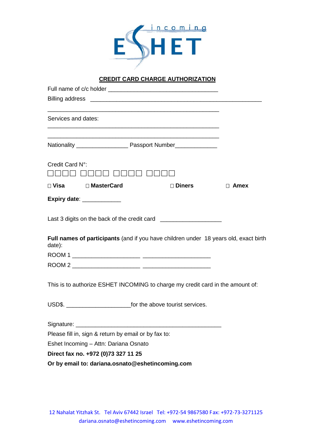

### **CREDIT CARD CHARGE AUTHORIZATION**

| Billing address <u>examed and a series of the series of the series of the series of the series of the series of the series of the series of the series of the series of the series of the series of the series of the series of </u> |             |
|--------------------------------------------------------------------------------------------------------------------------------------------------------------------------------------------------------------------------------------|-------------|
| Services and dates:                                                                                                                                                                                                                  |             |
| <u> 1989 - Johann Barn, amerikan bernama di sebagai bernama di sebagai bernama di sebagai bernama di sebagai bern</u>                                                                                                                |             |
| Credit Card N°:                                                                                                                                                                                                                      |             |
| □ Visa □ MasterCard<br>□ Diners                                                                                                                                                                                                      | $\Box$ Amex |
| Expiry date: ____________                                                                                                                                                                                                            |             |
| Last 3 digits on the back of the credit card ___________________________________                                                                                                                                                     |             |
| Full names of participants (and if you have children under 18 years old, exact birth<br>date):                                                                                                                                       |             |
|                                                                                                                                                                                                                                      |             |
|                                                                                                                                                                                                                                      |             |
| This is to authorize ESHET INCOMING to charge my credit card in the amount of:                                                                                                                                                       |             |
|                                                                                                                                                                                                                                      |             |
|                                                                                                                                                                                                                                      |             |
| Please fill in, sign & return by email or by fax to:                                                                                                                                                                                 |             |
| Eshet Incoming - Attn: Dariana Osnato                                                                                                                                                                                                |             |
| Direct fax no. +972 (0)73 327 11 25                                                                                                                                                                                                  |             |
| Or by email to: dariana.osnato@eshetincoming.com                                                                                                                                                                                     |             |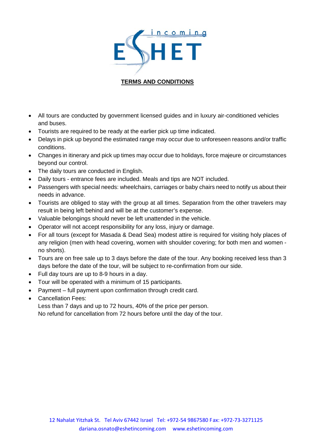

### **TERMS AND CONDITIONS**

- All tours are conducted by government licensed guides and in luxury air-conditioned vehicles and buses.
- Tourists are required to be ready at the earlier pick up time indicated.
- Delays in pick up beyond the estimated range may occur due to unforeseen reasons and/or traffic conditions.
- Changes in itinerary and pick up times may occur due to holidays, force majeure or circumstances beyond our control.
- The daily tours are conducted in English.
- Daily tours entrance fees are included. Meals and tips are NOT included.
- Passengers with special needs: wheelchairs, carriages or baby chairs need to notify us about their needs in advance.
- Tourists are obliged to stay with the group at all times. Separation from the other travelers may result in being left behind and will be at the customer's expense.
- Valuable belongings should never be left unattended in the vehicle.
- Operator will not accept responsibility for any loss, injury or damage.
- For all tours (except for Masada & Dead Sea) modest attire is required for visiting holy places of any religion (men with head covering, women with shoulder covering; for both men and women no shorts).
- Tours are on free sale up to 3 days before the date of the tour. Any booking received less than 3 days before the date of the tour, will be subject to re-confirmation from our side.
- Full day tours are up to 8-9 hours in a day.
- Tour will be operated with a minimum of 15 participants.
- Payment full payment upon confirmation through credit card.
- Cancellation Fees:

Less than 7 days and up to 72 hours, 40% of the price per person. No refund for cancellation from 72 hours before until the day of the tour.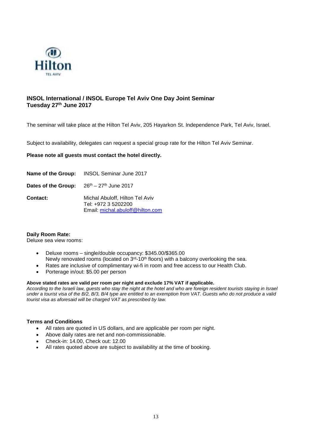

#### **INSOL International / INSOL Europe Tel Aviv One Day Joint Seminar Tuesday 27th June 2017**

The seminar will take place at the Hilton Tel Aviv, 205 Hayarkon St. Independence Park, Tel Aviv, Israel.

Subject to availability, delegates can request a special group rate for the Hilton Tel Aviv Seminar.

#### **Please note all guests must contact the hotel directly.**

|                     | Name of the Group: INSOL Seminar June 2017                                                 |
|---------------------|--------------------------------------------------------------------------------------------|
| Dates of the Group: | $26th - 27th$ June 2017                                                                    |
| <b>Contact:</b>     | Michal Abuloff, Hilton Tel Aviv<br>Tel: +972 3 5202200<br>Email: michal.abuloff@hilton.com |

#### **Daily Room Rate:**

#### Deluxe sea view rooms:

- Deluxe rooms single/double occupancy: \$345.00/\$365.00 Newly renovated rooms (located on  $3<sup>rd</sup>$ -10<sup>th</sup> floors) with a balcony overlooking the sea.
- Rates are inclusive of complimentary wi-fi in room and free access to our Health Club.
- Porterage in/out: \$5.00 per person

#### **Above stated rates are valid per room per night and exclude 17% VAT if applicable.**

*According to the Israeli law, guests who stay the night at the hotel and who are foreign resident tourists staying in Israel under a tourist visa of the B/2, B/3, B/4 type are entitled to an exemption from VAT. Guests who do not produce a valid tourist visa as aforesaid will be charged VAT as prescribed by law.*

#### **Terms and Conditions**

- All rates are quoted in US dollars, and are applicable per room per night.
- Above daily rates are net and non-commissionable.
- Check-in: 14.00, Check out: 12.00
- All rates quoted above are subject to availability at the time of booking.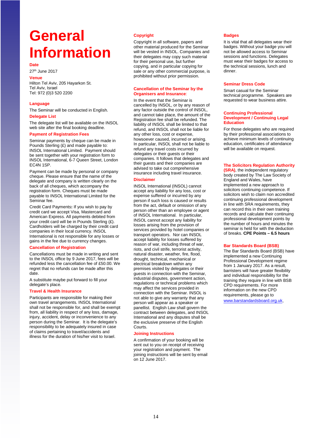## **General Information**

**Date**

27th June 2017

**Venue**

Hilton Tel Aviv, 205 Hayarkon St. Tel Aviv, Israel Tel: 972 (0)3 520 2200

#### **Language**

The Seminar will be conducted in English. **Delegate List**

The delegate list will be available on the INSOL web site after the final booking deadline.

#### **Payment of Registration Fees**

Seminar payments by cheque can be made in Pounds Sterling (£) and made payable to: INSOL International Limited. Payment should be sent together with your registration form to INSOL International, 6-7 Queen Street, London EC4N 1SP.

Payment can be made by personal or company cheque. Please ensure that the name of the delegate and company is written clearly on the back of all cheques, which accompany the registration form. Cheques must be made payable to INSOL International Limited for the Seminar fee.

Credit Card Payments**:** If you wish to pay by credit card we accept Visa, Mastercard and American Express. All payments debited from your credit card will be in Pounds Sterling (£). Cardholders will be charged by their credit card companies in their local currency. INSOL International is not responsible for any losses or gains in the fee due to currency changes.

#### **Cancellation of Registration**

Cancellations must be made in writing and sent to the INSOL office by 9 June 2017, fees will be refunded less the cancellation fee of £50.00. We regret that no refunds can be made after this date.

A substitute maybe put forward to fill your delegate's place.

#### **Travel & Health Insurance**

Participants are responsible for making their own travel arrangements. INSOL International shall not be responsible for, and shall be exempt from, all liability in respect of any loss, damage, injury, accident, delay or inconvenience to any person during the Seminar. It is the delegate's responsibility to be adequately insured in case of claims pertaining to travel/accidents and illness for the duration of his/her visit to Israel.

#### **Copyright**

Copyright in all software, papers and other material produced for the Seminar will be vested in INSOL. Companies and their delegates may copy such material for their personal use, but further copying, and in particular copying for sale or any other commercial purpose, is prohibited without prior permission.

#### **Cancellation of the Seminar by the Organisers and Insurance**:

In the event that the Seminar is cancelled by INSOL, or by any reason of any factor outside the control of INSOL, and cannot take place, the amount of the Registration fee shall be refunded. The liability of INSOL shall be limited to that refund, and INSOL shall not be liable for any other loss, cost or expense, howsoever caused, incurred or arising. In particular, INSOL shall not be liable to refund any travel costs incurred by delegates or their guests or their companies. It follows that delegates and their guests and their companies are advised to take out comprehensive insurance including travel insurance.

#### **Disclaimer**

INSOL International (INSOL) cannot accept any liability for any loss, cost or expense suffered or incurred by any person if such loss is caused or results from the act, default or omission of any person other than an employee or agent of INSOL International. In particular, INSOL cannot accept any liability for losses arising from the provision of services provided by hotel companies or transport operators. Nor can INSOL accept liability for losses suffered by reason of war, including threat of war, riots, and civil strife, terrorist activity, natural disaster, weather, fire, flood, drought, technical, mechanical or electrical breakdown within any premises visited by delegates or their guests in connection with the Seminar, industrial disputes, government action, regulations or technical problems which may affect the services provided in connection with the Seminar. INSOL is not able to give any warranty that any person will appear as a speaker or panellist. English Law shall govern the contract between delegates, and INSOL International and any disputes shall be the exclusive preserve of the English Courts.

#### **Joining Instructions**

A confirmation of your booking will be sent out to you on receipt of receiving your registration and payment. The joining instructions will be sent by email on 12 June 2017.

#### **Badges**

It is vital that all delegates wear their badges. Without your badge you will not be allowed access to Seminar sessions and functions. Delegates must wear their badges for access to the technical sessions, lunch and dinner.

#### **Seminar Dress Code**

Smart casual for the Seminar technical programme. Speakers are requested to wear business attire.

#### **Continuing Professional Development / Continuing Legal Education**

For those delegates who are required by their professional associations to achieve minimum levels of continuing education, certificates of attendance will be available on request.

**The Solicitors Regulation Authority (SRA)**, the independent regulatory body created by The Law Society of England and Wales, have implemented a new approach to solicitors continuing competence. If solicitors wish to claim non accredited continuing professional development in line with SRA requirements, they can record this in their own training records and calculate their continuing professional development points by the number of hours and minutes the seminar is held for with the deduction of breaks. **CPE Points – 6.5 hours**

#### **Bar Standards Board (BSB)**

The Bar Standards Board (BSB) have implemented a new Continuing Professional Development regime from 1 January 2017. As a result. barristers will have greater flexibility and individual responsibility for the training they require in line with BSB CPD requirements. For more information on the new CPD requirements, please go to [www.barstandardsboard.org.uk](http://www.barstandardsboard.org.uk/).